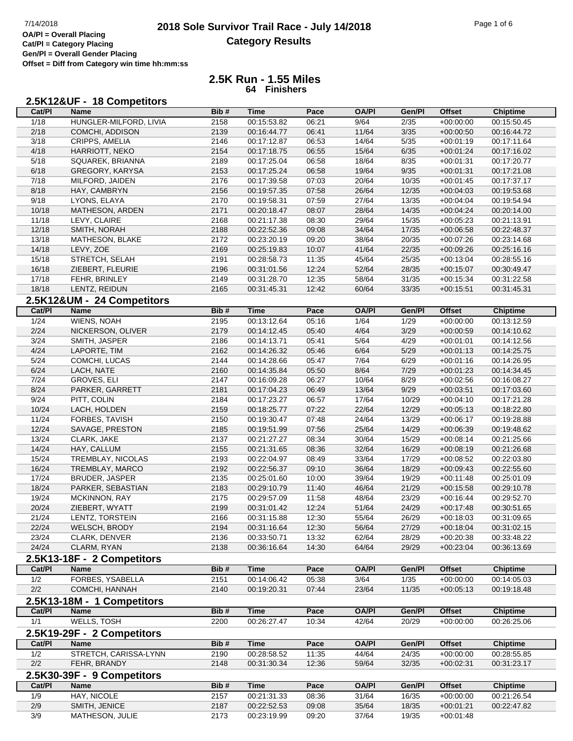## **2018 Sole Survivor Trail Race - July 14/2018** Page 1 of 6 Page 1 of 6 Page 1 of 6 **Category Results**

**2.5K Run - 1.55 Miles 64 Finishers**

| 2.5K12&UF - 18 Competitors |
|----------------------------|
|----------------------------|

| Cat/PI         | Name                       | Bib# | <b>Time</b> | Pace  | <b>OA/PI</b> | Gen/Pl            | <b>Offset</b> | <b>Chiptime</b> |
|----------------|----------------------------|------|-------------|-------|--------------|-------------------|---------------|-----------------|
| 1/18           | HUNGLER-MILFORD, LIVIA     | 2158 | 00:15:53.82 | 06:21 | 9/64         | 2/35              | $+00:00:00$   | 00:15:50.45     |
| 2/18           | COMCHI, ADDISON            | 2139 | 00:16:44.77 | 06:41 | 11/64        | $\overline{3/35}$ | $+00:00:50$   | 00:16:44.72     |
| 3/18           | CRIPPS, AMELIA             | 2146 | 00:17:12.87 | 06:53 | 14/64        | 5/35              | $+00:01:19$   | 00:17:11.64     |
| 4/18           | HARRIOTT, NEKO             | 2154 | 00:17:18.75 | 06:55 | 15/64        | 6/35              | $+00:01:24$   | 00:17:16.02     |
| 5/18           | SQUAREK, BRIANNA           | 2189 | 00:17:25.04 | 06:58 | 18/64        | 8/35              | $+00:01:31$   | 00:17:20.77     |
| 6/18           | GREGORY, KARYSA            | 2153 | 00:17:25.24 | 06:58 | 19/64        | 9/35              | $+00:01:31$   | 00:17:21.08     |
| 7/18           | MILFORD, JAIDEN            | 2176 | 00:17:39.58 | 07:03 | 20/64        | 10/35             | $+00:01:45$   | 00:17:37.17     |
| 8/18           | HAY, CAMBRYN               | 2156 | 00:19:57.35 | 07:58 | 26/64        | 12/35             | $+00:04:03$   | 00:19:53.68     |
| 9/18           | LYONS, ELAYA               | 2170 | 00:19:58.31 | 07:59 | 27/64        | 13/35             | $+00:04:04$   | 00:19:54.94     |
| 10/18          | MATHESON, ARDEN            | 2171 | 00:20:18.47 | 08:07 | 28/64        | 14/35             | $+00:04:24$   | 00:20:14.00     |
| 11/18          | LEVY, CLAIRE               | 2168 | 00:21:17.38 | 08:30 | 29/64        | 15/35             | $+00:05:23$   | 00:21:13.91     |
| 12/18          | SMITH, NORAH               | 2188 | 00:22:52.36 | 09:08 | 34/64        | 17/35             | $+00:06:58$   | 00:22:48.37     |
| 13/18          | MATHESON, BLAKE            | 2172 | 00:23:20.19 | 09:20 | 38/64        | 20/35             | $+00:07:26$   | 00:23:14.68     |
| 14/18          | LEVY, ZOE                  | 2169 | 00:25:19.83 | 10:07 | 41/64        | 22/35             | $+00:09:26$   | 00:25:16.16     |
| 15/18          | STRETCH, SELAH             | 2191 | 00:28:58.73 | 11:35 | 45/64        | 25/35             | $+00:13:04$   | 00:28:55.16     |
| 16/18          | ZIEBERT, FLEURIE           | 2196 | 00:31:01.56 | 12:24 | 52/64        | 28/35             | $+00:15:07$   | 00:30:49.47     |
| 17/18          | FEHR, BRINLEY              | 2149 | 00:31:28.70 | 12:35 | 58/64        | 31/35             | $+00:15:34$   | 00:31:22.58     |
| 18/18          | LENTZ, REIDUN              | 2165 | 00:31:45.31 | 12:42 | 60/64        | 33/35             | $+00:15:51$   | 00:31:45.31     |
|                |                            |      |             |       |              |                   |               |                 |
| Cat/PI         | 2.5K12&UM - 24 Competitors |      |             |       |              | Gen/Pl            | <b>Offset</b> |                 |
|                | <b>Name</b>                | Bib# | <b>Time</b> | Pace  | <b>OA/PI</b> |                   |               | <b>Chiptime</b> |
| $\frac{1}{24}$ | <b>WIENS, NOAH</b>         | 2195 | 00:13:12.64 | 05:16 | 1/64         | 1/29              | $+00:00:00$   | 00:13:12.59     |
| 2/24           | NICKERSON, OLIVER          | 2179 | 00:14:12.45 | 05:40 | 4/64         | 3/29              | $+00:00:59$   | 00:14:10.62     |
| 3/24           | SMITH, JASPER              | 2186 | 00:14:13.71 | 05:41 | 5/64         | 4/29              | $+00:01:01$   | 00:14:12.56     |
| 4/24           | LAPORTE, TIM               | 2162 | 00:14:26.32 | 05:46 | 6/64         | 5/29              | $+00:01:13$   | 00:14:25.75     |
| 5/24           | COMCHI, LUCAS              | 2144 | 00:14:28.66 | 05:47 | 7/64         | 6/29              | $+00:01:16$   | 00:14:26.95     |
| 6/24           | LACH, NATE                 | 2160 | 00:14:35.84 | 05:50 | 8/64         | 7/29              | $+00:01:23$   | 00:14:34.45     |
| 7/24           | GROVES, ELI                | 2147 | 00:16:09.28 | 06:27 | 10/64        | 8/29              | $+00:02:56$   | 00:16:08.27     |
| 8/24           | PARKER, GARRETT            | 2181 | 00:17:04.23 | 06:49 | 13/64        | 9/29              | $+00:03:51$   | 00:17:03.60     |
| 9/24           | PITT, COLIN                | 2184 | 00:17:23.27 | 06:57 | 17/64        | 10/29             | $+00:04:10$   | 00:17:21.28     |
| 10/24          | LACH, HOLDEN               | 2159 | 00:18:25.77 | 07:22 | 22/64        | 12/29             | $+00:05:13$   | 00:18:22.80     |
| 11/24          | FORBES, TAVISH             | 2150 | 00:19:30.47 | 07:48 | 24/64        | 13/29             | $+00:06:17$   | 00:19:28.88     |
| 12/24          | SAVAGE, PRESTON            | 2185 | 00:19:51.99 | 07:56 | 25/64        | 14/29             | $+00:06:39$   | 00:19:48.62     |
| 13/24          | CLARK, JAKE                | 2137 | 00:21:27.27 | 08:34 | 30/64        | 15/29             | $+00:08:14$   | 00:21:25.66     |
| 14/24          | HAY, CALLUM                | 2155 | 00:21:31.65 | 08:36 | 32/64        | 16/29             | $+00:08:19$   | 00:21:26.68     |
| 15/24          | TREMBLAY, NICOLAS          | 2193 | 00:22:04.97 | 08:49 | 33/64        | 17/29             | $+00:08:52$   | 00:22:03.80     |
| 16/24          | TREMBLAY, MARCO            | 2192 | 00:22:56.37 | 09:10 | 36/64        | 18/29             | $+00:09:43$   | 00:22:55.60     |
| 17/24          | BRUDER, JASPER             | 2135 | 00:25:01.60 | 10:00 | 39/64        | 19/29             | $+00:11:48$   | 00:25:01.09     |
| 18/24          | PARKER, SEBASTIAN          | 2183 | 00:29:10.79 | 11:40 | 46/64        | 21/29             | $+00:15:58$   | 00:29:10.78     |
| 19/24          | MCKINNON, RAY              | 2175 | 00:29:57.09 | 11:58 | 48/64        | 23/29             | $+00:16:44$   | 00:29:52.70     |
| 20/24          | ZIEBERT, WYATT             | 2199 | 00:31:01.42 | 12:24 | 51/64        | 24/29             | $+00:17:48$   | 00:30:51.65     |
| 21/24          | LENTZ, TORSTEIN            | 2166 | 00:31:15.88 | 12:30 | 55/64        | 26/29             | $+00:18:03$   | 00:31:09.65     |
| 22/24          | WELSCH, BRODY              | 2194 | 00:31:16.64 | 12:30 | 56/64        | 27/29             | +00:18:04     | 00:31:02.15     |
| 23/24          | CLARK, DENVER              | 2136 | 00:33:50.71 | 13:32 | 62/64        | 28/29             | $+00:20:38$   | 00:33:48.22     |
| 24/24          | CLARM, RYAN                | 2138 | 00:36:16.64 | 14:30 | 64/64        | 29/29             | $+00:23:04$   | 00:36:13.69     |
|                | 2.5K13-18F - 2 Competitors |      |             |       |              |                   |               |                 |
| Cat/PI         | <b>Name</b>                | Bib# | <b>Time</b> | Pace  | <b>OA/PI</b> | Gen/Pl            | <b>Offset</b> | <b>Chiptime</b> |
| 1/2            | FORBES, YSABELLA           | 2151 | 00:14:06.42 | 05:38 | 3/64         | 1/35              | $+00:00:00$   | 00:14:05.03     |
| 2/2            | COMCHI, HANNAH             | 2140 | 00:19:20.31 | 07:44 | 23/64        | 11/35             | $+00:05:13$   | 00:19:18.48     |
|                | 2.5K13-18M - 1 Competitors |      |             |       |              |                   |               |                 |
| Cat/PI         | <b>Name</b>                | Bib# | <b>Time</b> | Pace  | <b>OA/PI</b> | Gen/Pl            | <b>Offset</b> | <b>Chiptime</b> |
| 1/1            | <b>WELLS, TOSH</b>         | 2200 | 00:26:27.47 | 10:34 | 42/64        | 20/29             | $+00:00:00$   | 00:26:25.06     |
|                | 2.5K19-29F - 2 Competitors |      |             |       |              |                   |               |                 |
|                |                            |      |             |       |              |                   |               |                 |
| Cat/PI         | <b>Name</b>                | Bib# | <b>Time</b> | Pace  | <b>OA/PI</b> | Gen/Pl            | <b>Offset</b> | <b>Chiptime</b> |
| 1/2            | STRETCH, CARISSA-LYNN      | 2190 | 00:28:58.52 | 11:35 | 44/64        | 24/35             | $+00:00:00$   | 00:28:55.85     |
| 2/2            | FEHR, BRANDY               | 2148 | 00:31:30.34 | 12:36 | 59/64        | 32/35             | $+00:02:31$   | 00:31:23.17     |
|                | 2.5K30-39F - 9 Competitors |      |             |       |              |                   |               |                 |
| Cat/PI         | Name                       | Bib# | Time        | Pace  | <b>OA/PI</b> | Gen/Pl            | <b>Offset</b> | <b>Chiptime</b> |
| 1/9            | HAY, NICOLE                | 2157 | 00:21:31.33 | 08:36 | 31/64        | 16/35             | $+00:00:00$   | 00:21:26.54     |
| 2/9            | SMITH, JENICE              | 2187 | 00:22:52.53 | 09:08 | 35/64        | 18/35             | $+00:01:21$   | 00:22:47.82     |
| 3/9            | MATHESON, JULIE            | 2173 | 00:23:19.99 | 09:20 | 37/64        | 19/35             | $+00:01:48$   |                 |